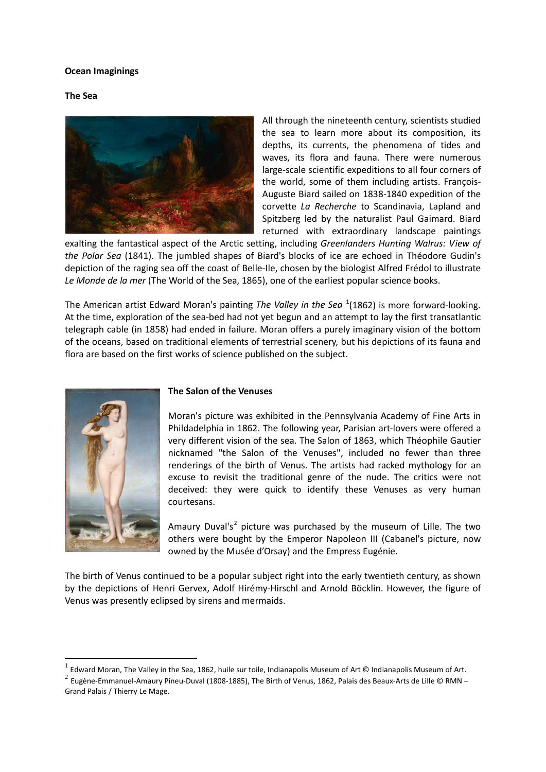#### **Ocean Imaginings**

#### **The Sea**



All through the nineteenth century, scientists studied the sea to learn more about its composition, its depths, its currents, the phenomena of tides and waves, its flora and fauna. There were numerous large-scale scientific expeditions to all four corners of the world, some of them including artists. François-Auguste Biard sailed on 1838-1840 expedition of the corvette *La Recherche* to Scandinavia, Lapland and Spitzberg led by the naturalist Paul Gaimard. Biard returned with extraordinary landscape paintings

exalting the fantastical aspect of the Arctic setting, including *Greenlanders Hunting Walrus: View of the Polar Sea* (1841). The jumbled shapes of Biard's blocks of ice are echoed in Théodore Gudin's depiction of the raging sea off the coast of Belle-Ile, chosen by the biologist Alfred Frédol to illustrate *Le Monde de la mer* (The World of the Sea, 1865), one of the earliest popular science books.

The American artist Edward Moran's painting The Valley in the Sea<sup>[1](#page-0-0)</sup>(1862) is more forward-looking. At the time, exploration of the sea-bed had not yet begun and an attempt to lay the first transatlantic telegraph cable (in 1858) had ended in failure. Moran offers a purely imaginary vision of the bottom of the oceans, based on traditional elements of terrestrial scenery, but his depictions of its fauna and flora are based on the first works of science published on the subject.



### **The Salon of the Venuses**

Moran's picture was exhibited in the Pennsylvania Academy of Fine Arts in Phildadelphia in 1862. The following year, Parisian art-lovers were offered a very different vision of the sea. The Salon of 1863, which Théophile Gautier nicknamed "the Salon of the Venuses", included no fewer than three renderings of the birth of Venus. The artists had racked mythology for an excuse to revisit the traditional genre of the nude. The critics were not deceived: they were quick to identify these Venuses as very human courtesans.

Amaury Duval's<sup>[2](#page-0-1)</sup> picture was purchased by the museum of Lille. The two others were bought by the Emperor Napoleon III (Cabanel's picture, now owned by the Musée d'Orsay) and the Empress Eugénie.

The birth of Venus continued to be a popular subject right into the early twentieth century, as shown by the depictions of Henri Gervex, Adolf Hirémy-Hirschl and Arnold Böcklin. However, the figure of Venus was presently eclipsed by sirens and mermaids.

 <sup>1</sup> Edward Moran, The Valley in the Sea, 1862, huile sur toile, Indianapolis Museum of Art © Indianapolis Museum of Art.

<span id="page-0-1"></span><span id="page-0-0"></span><sup>2</sup> Eugène-Emmanuel-Amaury Pineu-Duval (1808-1885), The Birth of Venus, 1862, Palais des Beaux-Arts de Lille © RMN – Grand Palais / Thierry Le Mage.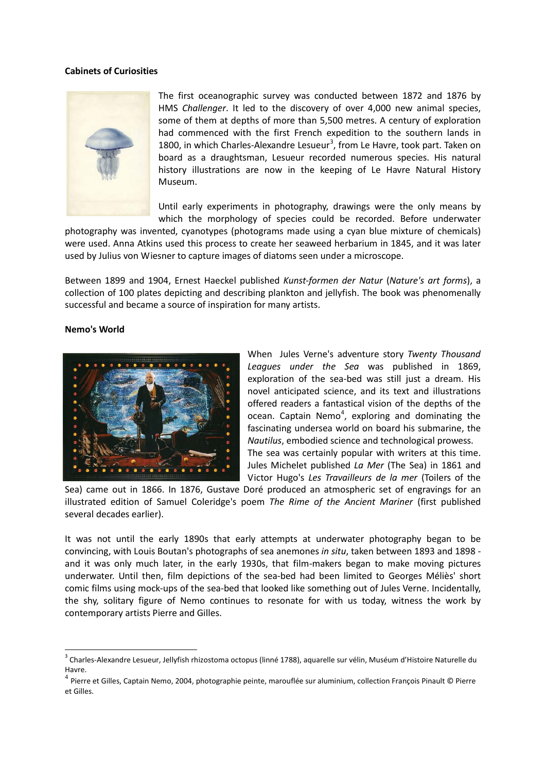#### **Cabinets of Curiosities**



The first oceanographic survey was conducted between 1872 and 1876 by HMS *Challenger*. It led to the discovery of over 4,000 new animal species, some of them at depths of more than 5,500 metres. A century of exploration had commenced with the first French expedition to the southern lands in 1800, in which Charles-Alexandre Lesueur<sup>[3](#page-1-0)</sup>, from Le Havre, took part. Taken on board as a draughtsman, Lesueur recorded numerous species. His natural history illustrations are now in the keeping of Le Havre Natural History Museum.

Until early experiments in photography, drawings were the only means by which the morphology of species could be recorded. Before underwater

photography was invented, cyanotypes (photograms made using a cyan blue mixture of chemicals) were used. Anna Atkins used this process to create her seaweed herbarium in 1845, and it was later used by Julius von Wiesner to capture images of diatoms seen under a microscope.

Between 1899 and 1904, Ernest Haeckel published *Kunst-formen der Natur* (*Nature's art forms*), a collection of 100 plates depicting and describing plankton and jellyfish. The book was phenomenally successful and became a source of inspiration for many artists.

#### **Nemo's World**



When Jules Verne's adventure story *Twenty Thousand Leagues under the Sea* was published in 1869, exploration of the sea-bed was still just a dream. His novel anticipated science, and its text and illustrations offered readers a fantastical vision of the depths of the ocean. Captain Nemo<sup>[4](#page-1-1)</sup>, exploring and dominating the fascinating undersea world on board his submarine, the *Nautilus*, embodied science and technological prowess. The sea was certainly popular with writers at this time. Jules Michelet published *La Mer* (The Sea) in 1861 and Victor Hugo's *Les Travailleurs de la mer* (Toilers of the

Sea) came out in 1866. In 1876, Gustave Doré produced an atmospheric set of engravings for an illustrated edition of Samuel Coleridge's poem *The Rime of the Ancient Mariner* (first published several decades earlier).

It was not until the early 1890s that early attempts at underwater photography began to be convincing, with Louis Boutan's photographs of sea anemones *in situ*, taken between 1893 and 1898 and it was only much later, in the early 1930s, that film-makers began to make moving pictures underwater. Until then, film depictions of the sea-bed had been limited to Georges Méliès' short comic films using mock-ups of the sea-bed that looked like something out of Jules Verne. Incidentally, the shy, solitary figure of Nemo continues to resonate for with us today, witness the work by contemporary artists Pierre and Gilles.

<span id="page-1-0"></span> $3$  Charles-Alexandre Lesueur, Jellyfish rhizostoma octopus (linné 1788), aquarelle sur vélin, Muséum d'Histoire Naturelle du Havre.

<span id="page-1-1"></span> $4$  Pierre et Gilles, Captain Nemo, 2004, photographie peinte, marouflée sur aluminium, collection François Pinault © Pierre et Gilles.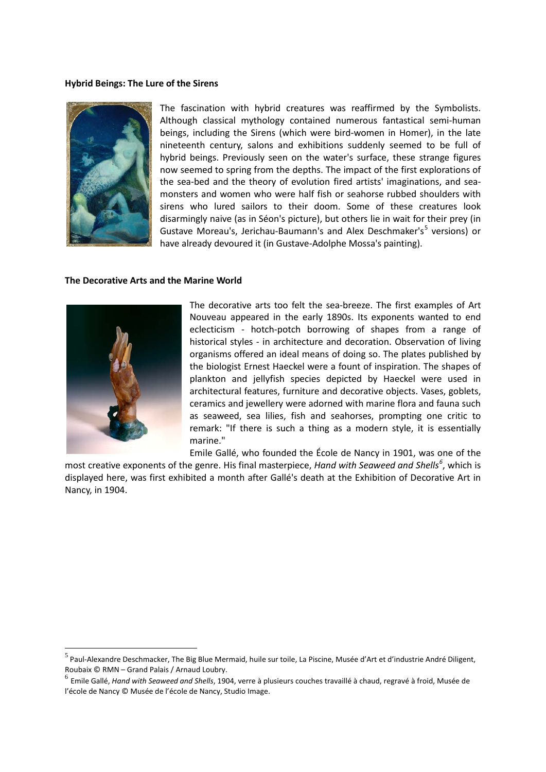#### **Hybrid Beings: The Lure of the Sirens**



The fascination with hybrid creatures was reaffirmed by the Symbolists. Although classical mythology contained numerous fantastical semi-human beings, including the Sirens (which were bird-women in Homer), in the late nineteenth century, salons and exhibitions suddenly seemed to be full of hybrid beings. Previously seen on the water's surface, these strange figures now seemed to spring from the depths. The impact of the first explorations of the sea-bed and the theory of evolution fired artists' imaginations, and seamonsters and women who were half fish or seahorse rubbed shoulders with sirens who lured sailors to their doom. Some of these creatures look disarmingly naive (as in Séon's picture), but others lie in wait for their prey (in Gustave Moreau's, Jerichau-Baumann's and Alex Deschmaker's<sup>[5](#page-2-0)</sup> versions) or have already devoured it (in Gustave-Adolphe Mossa's painting).

#### **The Decorative Arts and the Marine World**



The decorative arts too felt the sea-breeze. The first examples of Art Nouveau appeared in the early 1890s. Its exponents wanted to end eclecticism - hotch-potch borrowing of shapes from a range of historical styles - in architecture and decoration. Observation of living organisms offered an ideal means of doing so. The plates published by the biologist Ernest Haeckel were a fount of inspiration. The shapes of plankton and jellyfish species depicted by Haeckel were used in architectural features, furniture and decorative objects. Vases, goblets, ceramics and jewellery were adorned with marine flora and fauna such as seaweed, sea lilies, fish and seahorses, prompting one critic to remark: "If there is such a thing as a modern style, it is essentially marine."

Emile Gallé, who founded the École de Nancy in 1901, was one of the

most creative exponents of the genre. His final masterpiece, *Hand with Seaweed and Shells[6](#page-2-1)* , which is displayed here, was first exhibited a month after Gallé's death at the Exhibition of Decorative Art in Nancy, in 1904.

<span id="page-2-0"></span> $^5$  Paul-Alexandre Deschmacker. The Big Blue Mermaid, huile sur toile. La Piscine, Musée d'Art et d'industrie André Diligent, Roubaix © RMN – Grand Palais / Arnaud Loubry.

<span id="page-2-1"></span><sup>6</sup> Emile Gallé, *Hand with Seaweed and Shells*, 1904, verre à plusieurs couches travaillé à chaud, regravé à froid, Musée de l'école de Nancy © Musée de l'école de Nancy, Studio Image.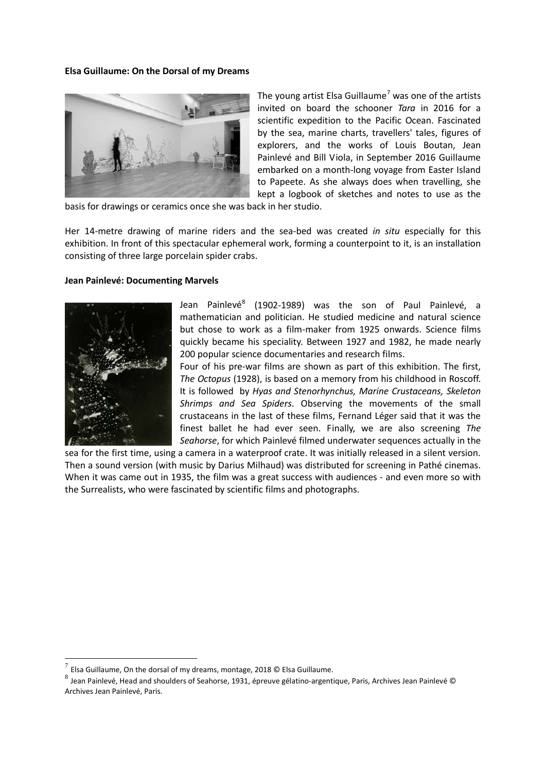#### **Elsa Guillaume: On the Dorsal of my Dreams**



The young artist Elsa Guillaume<sup>[7](#page-3-0)</sup> was one of the artists invited on board the schooner *Tara* in 2016 for a scientific expedition to the Pacific Ocean. Fascinated by the sea, marine charts, travellers' tales, figures of explorers, and the works of Louis Boutan, Jean Painlevé and Bill Viola, in September 2016 Guillaume embarked on a month-long voyage from Easter Island to Papeete. As she always does when travelling, she kept a logbook of sketches and notes to use as the

basis for drawings or ceramics once she was back in her studio.

Her 14-metre drawing of marine riders and the sea-bed was created *in situ* especially for this exhibition. In front of this spectacular ephemeral work, forming a counterpoint to it, is an installation consisting of three large porcelain spider crabs.

#### **Jean Painlevé: Documenting Marvels**



Jean Painlevé<sup>[8](#page-3-1)</sup> (1902-1989) was the son of Paul Painlevé, a mathematician and politician. He studied medicine and natural science but chose to work as a film-maker from 1925 onwards. Science films quickly became his speciality. Between 1927 and 1982, he made nearly 200 popular science documentaries and research films.

Four of his pre-war films are shown as part of this exhibition. The first, *The Octopus* (1928), is based on a memory from his childhood in Roscoff. It is followed by *Hyas and Stenorhynchus, Marine Crustaceans, Skeleton Shrimps and Sea Spiders*. Observing the movements of the small crustaceans in the last of these films, Fernand Léger said that it was the finest ballet he had ever seen. Finally, we are also screening *The Seahorse*, for which Painlevé filmed underwater sequences actually in the

sea for the first time, using a camera in a waterproof crate. It was initially released in a silent version. Then a sound version (with music by Darius Milhaud) was distributed for screening in Pathé cinemas. When it was came out in 1935, the film was a great success with audiences - and even more so with the Surrealists, who were fascinated by scientific films and photographs.

<span id="page-3-0"></span>Elsa Guillaume, On the dorsal of my dreams, montage, 2018 © Elsa Guillaume.

<span id="page-3-1"></span> $^8$  Jean Painlevé, Head and shoulders of Seahorse, 1931, épreuve gélatino-argentique, Paris, Archives Jean Painlevé © Archives Jean Painlevé, Paris.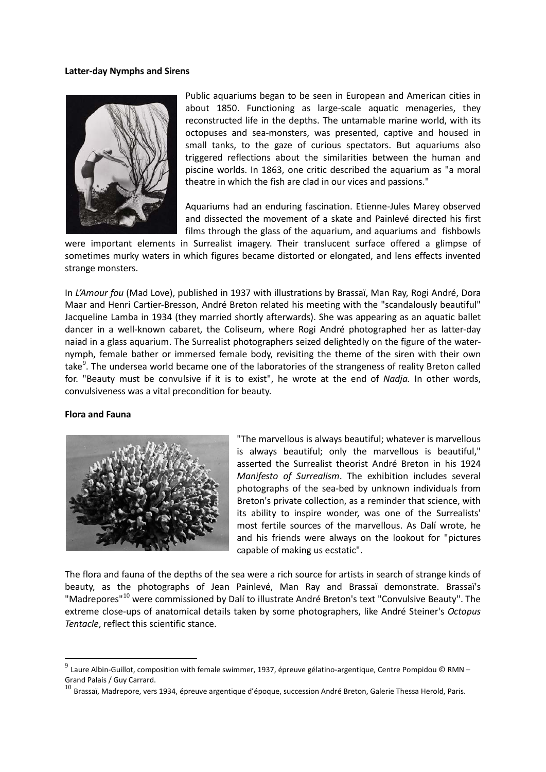#### **Latter-day Nymphs and Sirens**



Public aquariums began to be seen in European and American cities in about 1850. Functioning as large-scale aquatic menageries, they reconstructed life in the depths. The untamable marine world, with its octopuses and sea-monsters, was presented, captive and housed in small tanks, to the gaze of curious spectators. But aquariums also triggered reflections about the similarities between the human and piscine worlds. In 1863, one critic described the aquarium as "a moral theatre in which the fish are clad in our vices and passions."

Aquariums had an enduring fascination. Etienne-Jules Marey observed and dissected the movement of a skate and Painlevé directed his first films through the glass of the aquarium, and aquariums and fishbowls

were important elements in Surrealist imagery. Their translucent surface offered a glimpse of sometimes murky waters in which figures became distorted or elongated, and lens effects invented strange monsters.

In *L'Amour fou* (Mad Love), published in 1937 with illustrations by Brassaï, Man Ray, Rogi André, Dora Maar and Henri Cartier-Bresson, André Breton related his meeting with the "scandalously beautiful" Jacqueline Lamba in 1934 (they married shortly afterwards). She was appearing as an aquatic ballet dancer in a well-known cabaret, the Coliseum, where Rogi André photographed her as latter-day naiad in a glass aquarium. The Surrealist photographers seized delightedly on the figure of the waternymph, female bather or immersed female body, revisiting the theme of the siren with their own take<sup>[9](#page-4-0)</sup>. The undersea world became one of the laboratories of the strangeness of reality Breton called for. "Beauty must be convulsive if it is to exist", he wrote at the end of *Nadja.* In other words, convulsiveness was a vital precondition for beauty.

#### **Flora and Fauna**



"The marvellous is always beautiful; whatever is marvellous is always beautiful; only the marvellous is beautiful," asserted the Surrealist theorist André Breton in his 1924 *Manifesto of Surrealism*. The exhibition includes several photographs of the sea-bed by unknown individuals from Breton's private collection, as a reminder that science, with its ability to inspire wonder, was one of the Surrealists' most fertile sources of the marvellous. As Dalí wrote, he and his friends were always on the lookout for "pictures capable of making us ecstatic".

The flora and fauna of the depths of the sea were a rich source for artists in search of strange kinds of beauty, as the photographs of Jean Painlevé, Man Ray and Brassaï demonstrate. Brassaï's "Madrepores"<sup>[10](#page-4-1)</sup> were commissioned by Dalí to illustrate André Breton's text "Convulsive Beauty". The extreme close-ups of anatomical details taken by some photographers, like André Steiner's *Octopus Tentacle*, reflect this scientific stance.

<span id="page-4-0"></span> $^9$  Laure Albin-Guillot, composition with female swimmer, 1937, épreuve gélatino-argentique, Centre Pompidou © RMN – Grand Palais / Guy Carrard.

<span id="page-4-1"></span> $^{10}$  Brassaï, Madrepore, vers 1934, épreuve argentique d'époque, succession André Breton, Galerie Thessa Herold, Paris.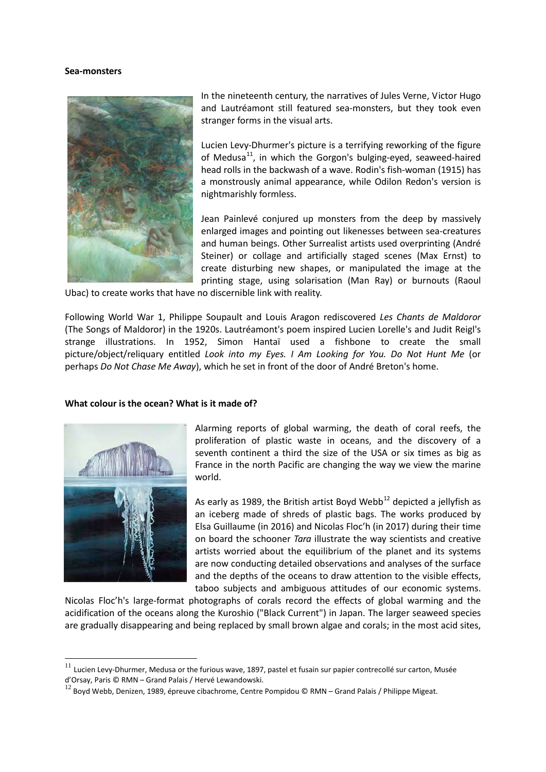#### **Sea-monsters**



In the nineteenth century, the narratives of Jules Verne, Victor Hugo and Lautréamont still featured sea-monsters, but they took even stranger forms in the visual arts.

Lucien Levy-Dhurmer's picture is a terrifying reworking of the figure of Medusa<sup>11</sup>, in which the Gorgon's bulging-eyed, seaweed-haired head rolls in the backwash of a wave. Rodin's fish-woman (1915) has a monstrously animal appearance, while Odilon Redon's version is nightmarishly formless.

Jean Painlevé conjured up monsters from the deep by massively enlarged images and pointing out likenesses between sea-creatures and human beings. Other Surrealist artists used overprinting (André Steiner) or collage and artificially staged scenes (Max Ernst) to create disturbing new shapes, or manipulated the image at the printing stage, using solarisation (Man Ray) or burnouts (Raoul

Ubac) to create works that have no discernible link with reality.

Following World War 1, Philippe Soupault and Louis Aragon rediscovered *Les Chants de Maldoror* (The Songs of Maldoror) in the 1920s. Lautréamont's poem inspired Lucien Lorelle's and Judit Reigl's strange illustrations. In 1952, Simon Hantaï used a fishbone to create the small picture/object/reliquary entitled *Look into my Eyes. I Am Looking for You. Do Not Hunt Me* (or perhaps *Do Not Chase Me Away*), which he set in front of the door of André Breton's home.

#### **What colour is the ocean? What is it made of?**



Alarming reports of global warming, the death of coral reefs, the proliferation of plastic waste in oceans, and the discovery of a seventh continent a third the size of the USA or six times as big as France in the north Pacific are changing the way we view the marine world.

As early as 1989, the British artist Boyd Webb<sup>[12](#page-5-1)</sup> depicted a jellyfish as an iceberg made of shreds of plastic bags. The works produced by Elsa Guillaume (in 2016) and Nicolas Floc'h (in 2017) during their time on board the schooner *Tara* illustrate the way scientists and creative artists worried about the equilibrium of the planet and its systems are now conducting detailed observations and analyses of the surface and the depths of the oceans to draw attention to the visible effects, taboo subjects and ambiguous attitudes of our economic systems.

Nicolas Floc'h's large-format photographs of corals record the effects of global warming and the acidification of the oceans along the Kuroshio ("Black Current") in Japan. The larger seaweed species are gradually disappearing and being replaced by small brown algae and corals; in the most acid sites,

<span id="page-5-0"></span> $^{11}$  Lucien Levy-Dhurmer, Medusa or the furious wave, 1897, pastel et fusain sur papier contrecollé sur carton, Musée d'Orsay, Paris © RMN – Grand Palais / Hervé Lewandowski.

<span id="page-5-1"></span> $^{12}$  Boyd Webb, Denizen, 1989, épreuve cibachrome, Centre Pompidou © RMN – Grand Palais / Philippe Migeat.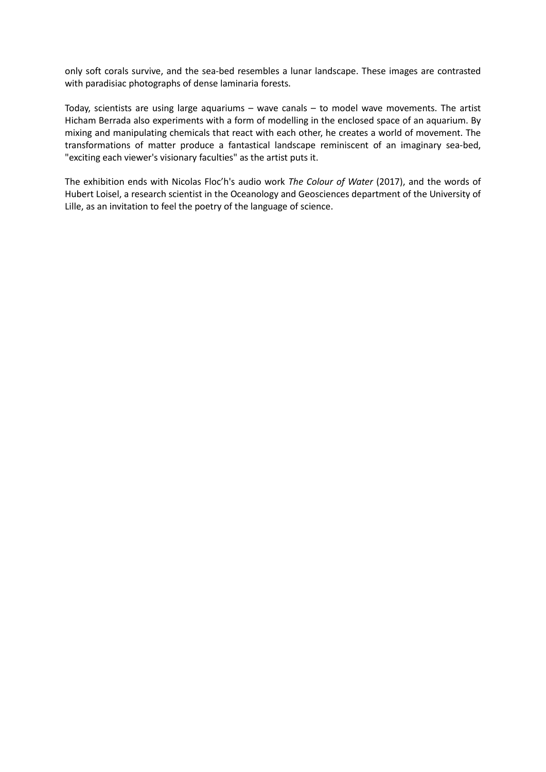only soft corals survive, and the sea-bed resembles a lunar landscape. These images are contrasted with paradisiac photographs of dense laminaria forests.

Today, scientists are using large aquariums – wave canals – to model wave movements. The artist Hicham Berrada also experiments with a form of modelling in the enclosed space of an aquarium. By mixing and manipulating chemicals that react with each other, he creates a world of movement. The transformations of matter produce a fantastical landscape reminiscent of an imaginary sea-bed, "exciting each viewer's visionary faculties" as the artist puts it.

The exhibition ends with Nicolas Floc'h's audio work *The Colour of Water* (2017), and the words of Hubert Loisel, a research scientist in the Oceanology and Geosciences department of the University of Lille, as an invitation to feel the poetry of the language of science.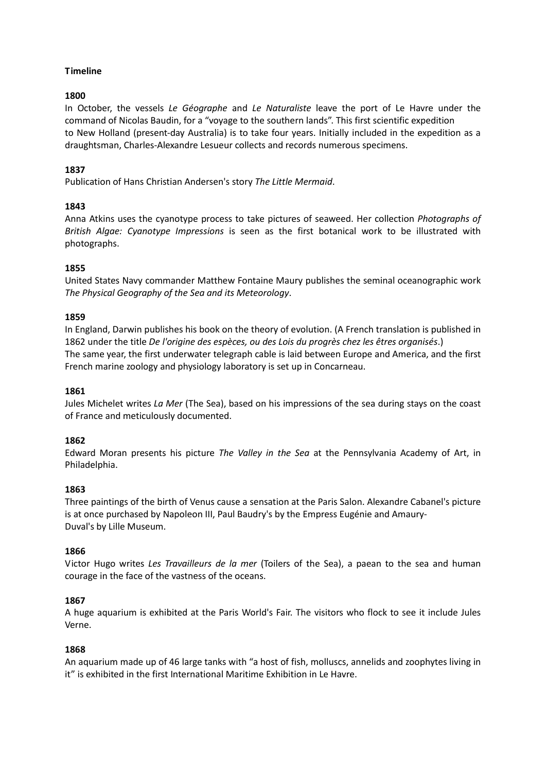# **Timeline**

# **1800**

In October, the vessels *Le Géographe* and *Le Naturaliste* leave the port of Le Havre under the command of Nicolas Baudin, for a "voyage to the southern lands". This first scientific expedition to New Holland (present-day Australia) is to take four years. Initially included in the expedition as a draughtsman, Charles-Alexandre Lesueur collects and records numerous specimens.

# **1837**

Publication of Hans Christian Andersen's story *The Little Mermaid*.

# **1843**

Anna Atkins uses the cyanotype process to take pictures of seaweed. Her collection *Photographs of British Algae: Cyanotype Impressions* is seen as the first botanical work to be illustrated with photographs.

# **1855**

United States Navy commander Matthew Fontaine Maury publishes the seminal oceanographic work *The Physical Geography of the Sea and its Meteorology*.

# **1859**

In England, Darwin publishes his book on the theory of evolution. (A French translation is published in 1862 under the title *De l'origine des espèces, ou des Lois du progrès chez les êtres organisés*.) The same year, the first underwater telegraph cable is laid between Europe and America, and the first French marine zoology and physiology laboratory is set up in Concarneau.

### **1861**

Jules Michelet writes *La Mer* (The Sea), based on his impressions of the sea during stays on the coast of France and meticulously documented.

### **1862**

Edward Moran presents his picture *The Valley in the Sea* at the Pennsylvania Academy of Art, in Philadelphia.

### **1863**

Three paintings of the birth of Venus cause a sensation at the Paris Salon. Alexandre Cabanel's picture is at once purchased by Napoleon III, Paul Baudry's by the Empress Eugénie and Amaury-Duval's by Lille Museum.

### **1866**

Victor Hugo writes *Les Travailleurs de la mer* (Toilers of the Sea), a paean to the sea and human courage in the face of the vastness of the oceans.

### **1867**

A huge aquarium is exhibited at the Paris World's Fair. The visitors who flock to see it include Jules Verne.

### **1868**

An aquarium made up of 46 large tanks with "a host of fish, molluscs, annelids and zoophytes living in it" is exhibited in the first International Maritime Exhibition in Le Havre.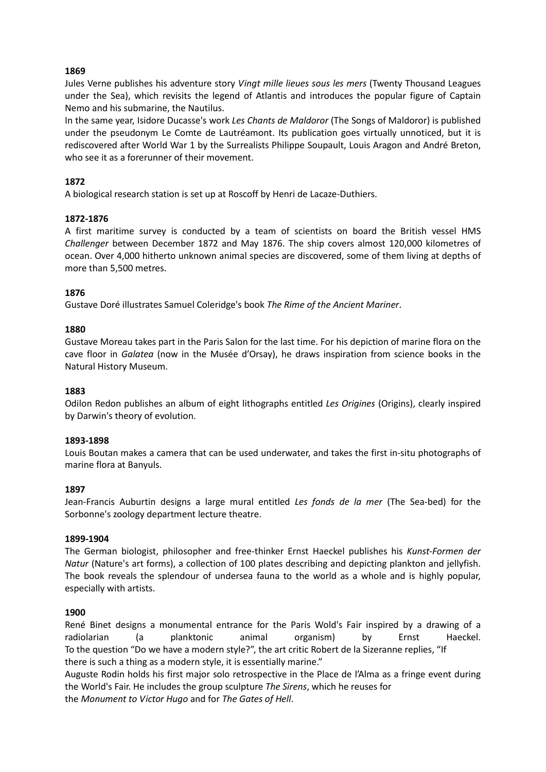### **1869**

Jules Verne publishes his adventure story *Vingt mille lieues sous les mers* (Twenty Thousand Leagues under the Sea), which revisits the legend of Atlantis and introduces the popular figure of Captain Nemo and his submarine, the Nautilus.

In the same year, Isidore Ducasse's work *Les Chants de Maldoror* (The Songs of Maldoror) is published under the pseudonym Le Comte de Lautréamont. Its publication goes virtually unnoticed, but it is rediscovered after World War 1 by the Surrealists Philippe Soupault, Louis Aragon and André Breton, who see it as a forerunner of their movement.

# **1872**

A biological research station is set up at Roscoff by Henri de Lacaze-Duthiers.

### **1872-1876**

A first maritime survey is conducted by a team of scientists on board the British vessel HMS *Challenger* between December 1872 and May 1876. The ship covers almost 120,000 kilometres of ocean. Over 4,000 hitherto unknown animal species are discovered, some of them living at depths of more than 5,500 metres.

### **1876**

Gustave Doré illustrates Samuel Coleridge's book *The Rime of the Ancient Mariner*.

### **1880**

Gustave Moreau takes part in the Paris Salon for the last time. For his depiction of marine flora on the cave floor in *Galatea* (now in the Musée d'Orsay), he draws inspiration from science books in the Natural History Museum.

#### **1883**

Odilon Redon publishes an album of eight lithographs entitled *Les Origines* (Origins), clearly inspired by Darwin's theory of evolution.

#### **1893-1898**

Louis Boutan makes a camera that can be used underwater, and takes the first in-situ photographs of marine flora at Banyuls.

### **1897**

Jean-Francis Auburtin designs a large mural entitled *Les fonds de la mer* (The Sea-bed) for the Sorbonne's zoology department lecture theatre.

#### **1899-1904**

The German biologist, philosopher and free-thinker Ernst Haeckel publishes his *Kunst-Formen der Natur* (Nature's art forms), a collection of 100 plates describing and depicting plankton and jellyfish. The book reveals the splendour of undersea fauna to the world as a whole and is highly popular, especially with artists.

### **1900**

René Binet designs a monumental entrance for the Paris Wold's Fair inspired by a drawing of a radiolarian (a planktonic animal organism) by Ernst Haeckel. To the question "Do we have a modern style?", the art critic Robert de la Sizeranne replies, "If there is such a thing as a modern style, it is essentially marine."

Auguste Rodin holds his first major solo retrospective in the Place de l'Alma as a fringe event during the World's Fair. He includes the group sculpture *The Sirens*, which he reuses for the *Monument to Victor Hugo* and for *The Gates of Hell*.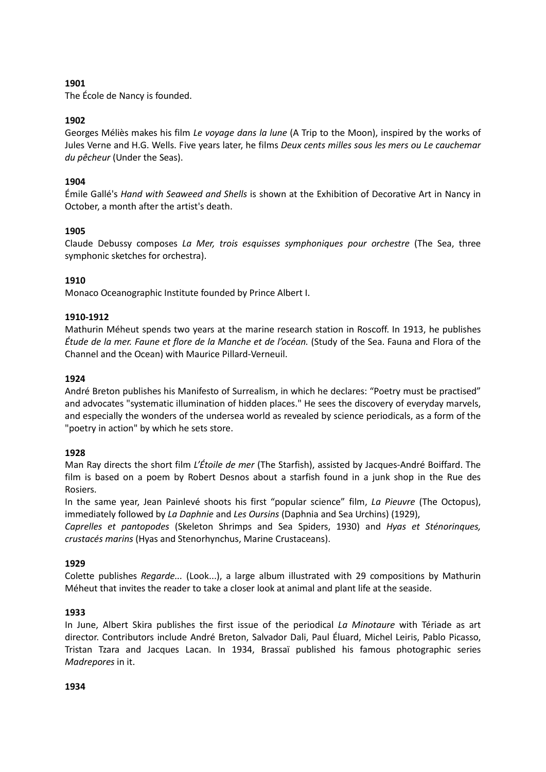# **1901**

The École de Nancy is founded.

# **1902**

Georges Méliès makes his film *Le voyage dans la lune* (A Trip to the Moon), inspired by the works of Jules Verne and H.G. Wells. Five years later, he films *Deux cents milles sous les mers ou Le cauchemar du pêcheur* (Under the Seas).

# **1904**

Émile Gallé's *Hand with Seaweed and Shells* is shown at the Exhibition of Decorative Art in Nancy in October, a month after the artist's death.

# **1905**

Claude Debussy composes *La Mer, trois esquisses symphoniques pour orchestre* (The Sea, three symphonic sketches for orchestra).

# **1910**

Monaco Oceanographic Institute founded by Prince Albert I.

# **1910-1912**

Mathurin Méheut spends two years at the marine research station in Roscoff. In 1913, he publishes *Étude de la mer. Faune et flore de la Manche et de l'océan.* (Study of the Sea. Fauna and Flora of the Channel and the Ocean) with Maurice Pillard-Verneuil.

# **1924**

André Breton publishes his Manifesto of Surrealism, in which he declares: "Poetry must be practised" and advocates "systematic illumination of hidden places." He sees the discovery of everyday marvels, and especially the wonders of the undersea world as revealed by science periodicals, as a form of the "poetry in action" by which he sets store.

### **1928**

Man Ray directs the short film *L'Étoile de mer* (The Starfish), assisted by Jacques-André Boiffard. The film is based on a poem by Robert Desnos about a starfish found in a junk shop in the Rue des Rosiers.

In the same year, Jean Painlevé shoots his first "popular science" film, *La Pieuvre* (The Octopus), immediately followed by *La Daphnie* and *Les Oursins* (Daphnia and Sea Urchins) (1929),

*Caprelles et pantopodes* (Skeleton Shrimps and Sea Spiders, 1930) and *Hyas et Sténorinques, crustacés marins* (Hyas and Stenorhynchus, Marine Crustaceans).

### **1929**

Colette publishes *Regarde...* (Look...), a large album illustrated with 29 compositions by Mathurin Méheut that invites the reader to take a closer look at animal and plant life at the seaside.

### **1933**

In June, Albert Skira publishes the first issue of the periodical *La Minotaure* with Tériade as art director. Contributors include André Breton, Salvador Dali, Paul Éluard, Michel Leiris, Pablo Picasso, Tristan Tzara and Jacques Lacan. In 1934, Brassaï published his famous photographic series *Madrepores* in it.

### **1934**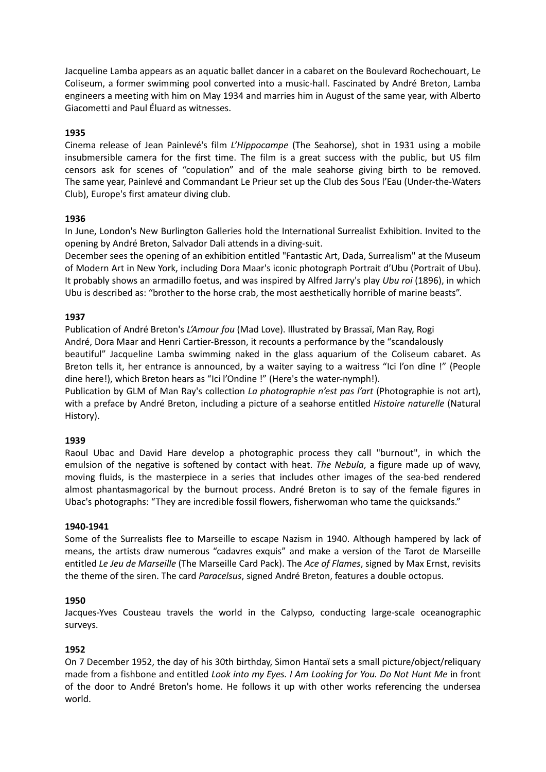Jacqueline Lamba appears as an aquatic ballet dancer in a cabaret on the Boulevard Rochechouart, Le Coliseum, a former swimming pool converted into a music-hall. Fascinated by André Breton, Lamba engineers a meeting with him on May 1934 and marries him in August of the same year, with Alberto Giacometti and Paul Éluard as witnesses.

# **1935**

Cinema release of Jean Painlevé's film *L'Hippocampe* (The Seahorse), shot in 1931 using a mobile insubmersible camera for the first time. The film is a great success with the public, but US film censors ask for scenes of "copulation" and of the male seahorse giving birth to be removed. The same year, Painlevé and Commandant Le Prieur set up the Club des Sous l'Eau (Under-the-Waters Club), Europe's first amateur diving club.

# **1936**

In June, London's New Burlington Galleries hold the International Surrealist Exhibition. Invited to the opening by André Breton, Salvador Dali attends in a diving-suit.

December sees the opening of an exhibition entitled "Fantastic Art, Dada, Surrealism" at the Museum of Modern Art in New York, including Dora Maar's iconic photograph Portrait d'Ubu (Portrait of Ubu). It probably shows an armadillo foetus, and was inspired by Alfred Jarry's play *Ubu roi* (1896), in which Ubu is described as: "brother to the horse crab, the most aesthetically horrible of marine beasts".

# **1937**

Publication of André Breton's *L'Amour fou* (Mad Love). Illustrated by Brassaï, Man Ray, Rogi André, Dora Maar and Henri Cartier-Bresson, it recounts a performance by the "scandalously beautiful" Jacqueline Lamba swimming naked in the glass aquarium of the Coliseum cabaret. As Breton tells it, her entrance is announced, by a waiter saying to a waitress "Ici l'on dîne !" (People dine here!), which Breton hears as "Ici l'Ondine !" (Here's the water-nymph!).

Publication by GLM of Man Ray's collection *La photographie n'est pas l'art* (Photographie is not art), with a preface by André Breton, including a picture of a seahorse entitled *Histoire naturelle* (Natural History).

### **1939**

Raoul Ubac and David Hare develop a photographic process they call "burnout", in which the emulsion of the negative is softened by contact with heat. *The Nebula*, a figure made up of wavy, moving fluids, is the masterpiece in a series that includes other images of the sea-bed rendered almost phantasmagorical by the burnout process. André Breton is to say of the female figures in Ubac's photographs: "They are incredible fossil flowers, fisherwoman who tame the quicksands."

### **1940-1941**

Some of the Surrealists flee to Marseille to escape Nazism in 1940. Although hampered by lack of means, the artists draw numerous "cadavres exquis" and make a version of the Tarot de Marseille entitled *Le Jeu de Marseille* (The Marseille Card Pack). The *Ace of Flames*, signed by Max Ernst, revisits the theme of the siren. The card *Paracelsus*, signed André Breton, features a double octopus.

### **1950**

Jacques-Yves Cousteau travels the world in the Calypso, conducting large-scale oceanographic surveys.

### **1952**

On 7 December 1952, the day of his 30th birthday, Simon Hantaï sets a small picture/object/reliquary made from a fishbone and entitled *Look into my Eyes. I Am Looking for You. Do Not Hunt Me* in front of the door to André Breton's home. He follows it up with other works referencing the undersea world.